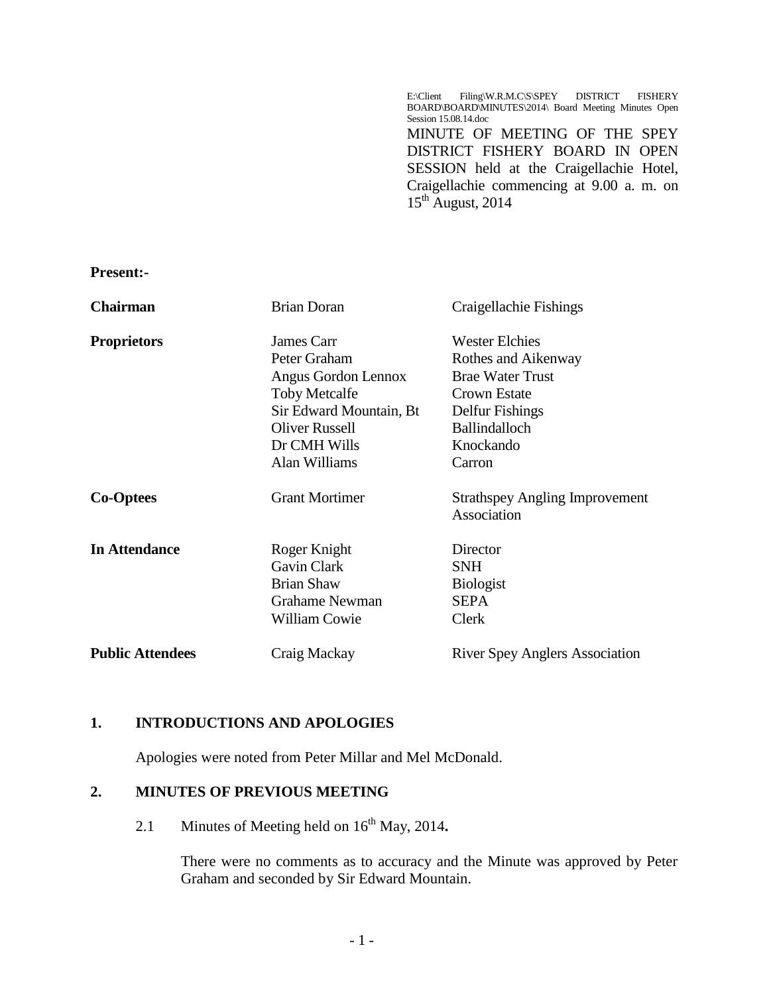E:\Client Filing\W.R.M.C\S\SPEY DISTRICT FISHERY BOARD\BOARD\MINUTES\2014\ Board Meeting Minutes Open Session 15.08.14.doc MINUTE OF MEETING OF THE SPEY DISTRICT FISHERY BOARD IN OPEN SESSION held at the Craigellachie Hotel, Craigellachie commencing at 9.00 a. m. on  $15<sup>th</sup>$  August, 2014

**Present:-**

| <b>Chairman</b>         | <b>Brian Doran</b>                                                                                                                                             | Craigellachie Fishings                                                                                                                                    |
|-------------------------|----------------------------------------------------------------------------------------------------------------------------------------------------------------|-----------------------------------------------------------------------------------------------------------------------------------------------------------|
| <b>Proprietors</b>      | James Carr<br>Peter Graham<br>Angus Gordon Lennox<br><b>Toby Metcalfe</b><br>Sir Edward Mountain, Bt<br><b>Oliver Russell</b><br>Dr CMH Wills<br>Alan Williams | <b>Wester Elchies</b><br>Rothes and Aikenway<br><b>Brae Water Trust</b><br>Crown Estate<br>Delfur Fishings<br><b>Ballindalloch</b><br>Knockando<br>Carron |
| <b>Co-Optees</b>        | <b>Grant Mortimer</b>                                                                                                                                          | <b>Strathspey Angling Improvement</b><br>Association                                                                                                      |
| <b>In Attendance</b>    | Roger Knight<br>Gavin Clark<br><b>Brian Shaw</b><br>Grahame Newman<br><b>William Cowie</b>                                                                     | Director<br><b>SNH</b><br><b>Biologist</b><br><b>SEPA</b><br>Clerk                                                                                        |
| <b>Public Attendees</b> | Craig Mackay                                                                                                                                                   | <b>River Spey Anglers Association</b>                                                                                                                     |

## **1. INTRODUCTIONS AND APOLOGIES**

Apologies were noted from Peter Millar and Mel McDonald.

## **2. MINUTES OF PREVIOUS MEETING**

2.1 Minutes of Meeting held on  $16^{th}$  May, 2014.

There were no comments as to accuracy and the Minute was approved by Peter Graham and seconded by Sir Edward Mountain.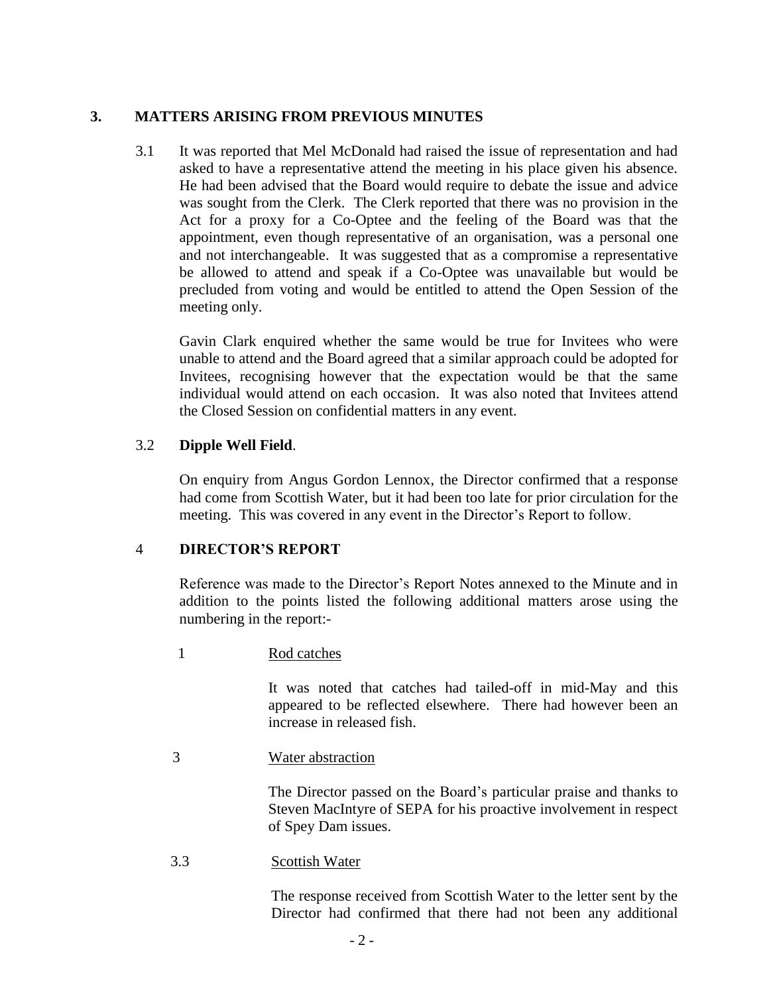## **3. MATTERS ARISING FROM PREVIOUS MINUTES**

3.1 It was reported that Mel McDonald had raised the issue of representation and had asked to have a representative attend the meeting in his place given his absence. He had been advised that the Board would require to debate the issue and advice was sought from the Clerk. The Clerk reported that there was no provision in the Act for a proxy for a Co-Optee and the feeling of the Board was that the appointment, even though representative of an organisation, was a personal one and not interchangeable. It was suggested that as a compromise a representative be allowed to attend and speak if a Co-Optee was unavailable but would be precluded from voting and would be entitled to attend the Open Session of the meeting only.

Gavin Clark enquired whether the same would be true for Invitees who were unable to attend and the Board agreed that a similar approach could be adopted for Invitees, recognising however that the expectation would be that the same individual would attend on each occasion. It was also noted that Invitees attend the Closed Session on confidential matters in any event.

## 3.2 **Dipple Well Field**.

On enquiry from Angus Gordon Lennox, the Director confirmed that a response had come from Scottish Water, but it had been too late for prior circulation for the meeting. This was covered in any event in the Director's Report to follow.

## 4 **DIRECTOR'S REPORT**

Reference was made to the Director's Report Notes annexed to the Minute and in addition to the points listed the following additional matters arose using the numbering in the report:-

1 Rod catches

It was noted that catches had tailed-off in mid-May and this appeared to be reflected elsewhere. There had however been an increase in released fish.

3 Water abstraction

The Director passed on the Board's particular praise and thanks to Steven MacIntyre of SEPA for his proactive involvement in respect of Spey Dam issues.

3.3 Scottish Water

The response received from Scottish Water to the letter sent by the Director had confirmed that there had not been any additional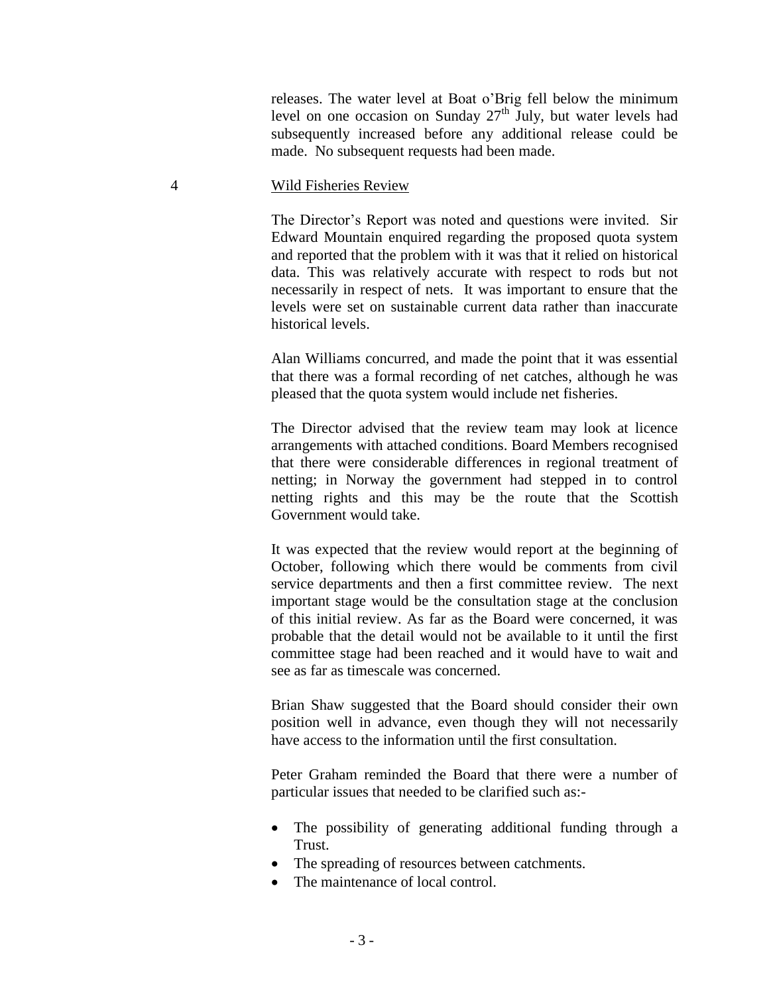releases. The water level at Boat o'Brig fell below the minimum level on one occasion on Sunday  $27<sup>th</sup>$  July, but water levels had subsequently increased before any additional release could be made. No subsequent requests had been made.

#### 4 Wild Fisheries Review

The Director's Report was noted and questions were invited. Sir Edward Mountain enquired regarding the proposed quota system and reported that the problem with it was that it relied on historical data. This was relatively accurate with respect to rods but not necessarily in respect of nets. It was important to ensure that the levels were set on sustainable current data rather than inaccurate historical levels.

Alan Williams concurred, and made the point that it was essential that there was a formal recording of net catches, although he was pleased that the quota system would include net fisheries.

The Director advised that the review team may look at licence arrangements with attached conditions. Board Members recognised that there were considerable differences in regional treatment of netting; in Norway the government had stepped in to control netting rights and this may be the route that the Scottish Government would take.

It was expected that the review would report at the beginning of October, following which there would be comments from civil service departments and then a first committee review. The next important stage would be the consultation stage at the conclusion of this initial review. As far as the Board were concerned, it was probable that the detail would not be available to it until the first committee stage had been reached and it would have to wait and see as far as timescale was concerned.

Brian Shaw suggested that the Board should consider their own position well in advance, even though they will not necessarily have access to the information until the first consultation.

Peter Graham reminded the Board that there were a number of particular issues that needed to be clarified such as:-

- The possibility of generating additional funding through a Trust.
- The spreading of resources between catchments.
- The maintenance of local control.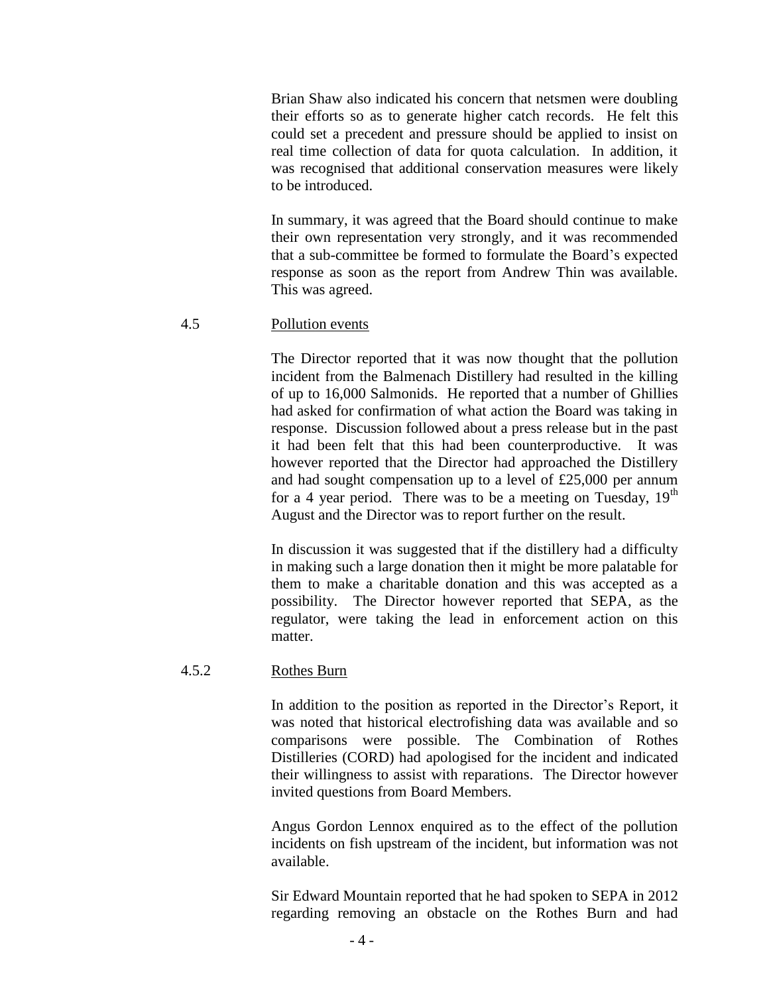Brian Shaw also indicated his concern that netsmen were doubling their efforts so as to generate higher catch records. He felt this could set a precedent and pressure should be applied to insist on real time collection of data for quota calculation. In addition, it was recognised that additional conservation measures were likely to be introduced.

In summary, it was agreed that the Board should continue to make their own representation very strongly, and it was recommended that a sub-committee be formed to formulate the Board's expected response as soon as the report from Andrew Thin was available. This was agreed.

## 4.5 Pollution events

The Director reported that it was now thought that the pollution incident from the Balmenach Distillery had resulted in the killing of up to 16,000 Salmonids. He reported that a number of Ghillies had asked for confirmation of what action the Board was taking in response. Discussion followed about a press release but in the past it had been felt that this had been counterproductive. It was however reported that the Director had approached the Distillery and had sought compensation up to a level of £25,000 per annum for a 4 year period. There was to be a meeting on Tuesday,  $19<sup>th</sup>$ August and the Director was to report further on the result.

In discussion it was suggested that if the distillery had a difficulty in making such a large donation then it might be more palatable for them to make a charitable donation and this was accepted as a possibility. The Director however reported that SEPA, as the regulator, were taking the lead in enforcement action on this matter.

### 4.5.2 Rothes Burn

In addition to the position as reported in the Director's Report, it was noted that historical electrofishing data was available and so comparisons were possible. The Combination of Rothes Distilleries (CORD) had apologised for the incident and indicated their willingness to assist with reparations. The Director however invited questions from Board Members.

Angus Gordon Lennox enquired as to the effect of the pollution incidents on fish upstream of the incident, but information was not available.

Sir Edward Mountain reported that he had spoken to SEPA in 2012 regarding removing an obstacle on the Rothes Burn and had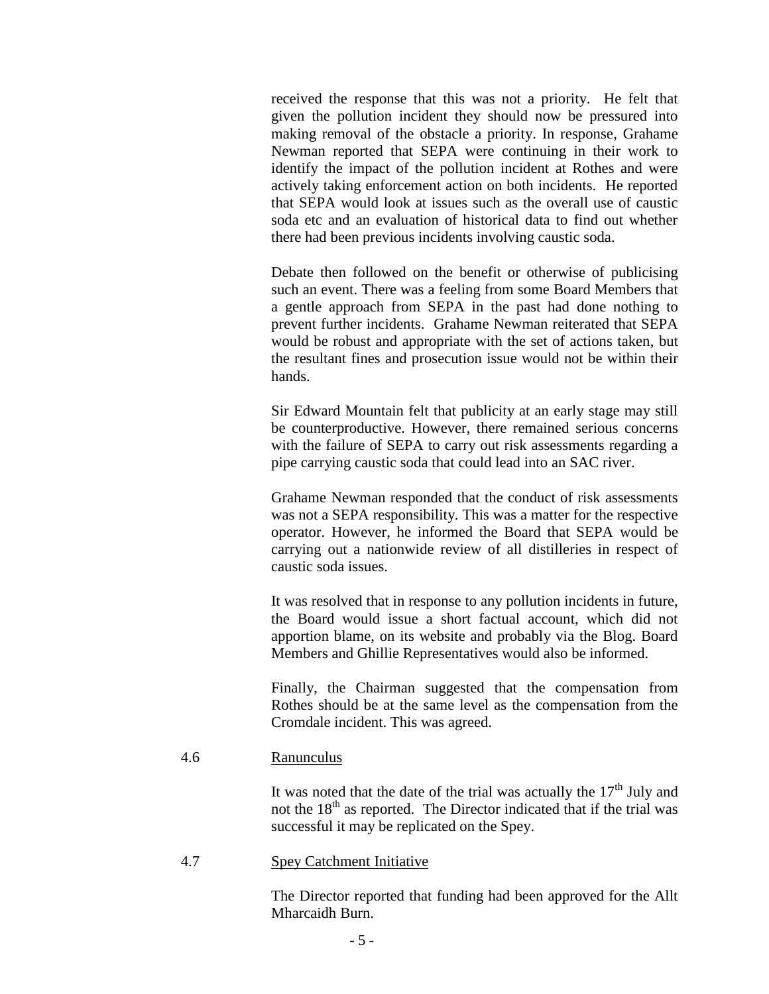received the response that this was not a priority. He felt that given the pollution incident they should now be pressured into making removal of the obstacle a priority. In response, Grahame Newman reported that SEPA were continuing in their work to identify the impact of the pollution incident at Rothes and were actively taking enforcement action on both incidents. He reported that SEPA would look at issues such as the overall use of caustic soda etc and an evaluation of historical data to find out whether there had been previous incidents involving caustic soda.

Debate then followed on the benefit or otherwise of publicising such an event. There was a feeling from some Board Members that a gentle approach from SEPA in the past had done nothing to prevent further incidents. Grahame Newman reiterated that SEPA would be robust and appropriate with the set of actions taken, but the resultant fines and prosecution issue would not be within their hands.

Sir Edward Mountain felt that publicity at an early stage may still be counterproductive. However, there remained serious concerns with the failure of SEPA to carry out risk assessments regarding a pipe carrying caustic soda that could lead into an SAC river.

Grahame Newman responded that the conduct of risk assessments was not a SEPA responsibility. This was a matter for the respective operator. However, he informed the Board that SEPA would be carrying out a nationwide review of all distilleries in respect of caustic soda issues.

It was resolved that in response to any pollution incidents in future, the Board would issue a short factual account, which did not apportion blame, on its website and probably via the Blog. Board Members and Ghillie Representatives would also be informed.

Finally, the Chairman suggested that the compensation from Rothes should be at the same level as the compensation from the Cromdale incident. This was agreed.

#### 4.6 Ranunculus

It was noted that the date of the trial was actually the  $17<sup>th</sup>$  July and not the  $18<sup>th</sup>$  as reported. The Director indicated that if the trial was successful it may be replicated on the Spey.

4.7 Spey Catchment Initiative

The Director reported that funding had been approved for the Allt Mharcaidh Burn.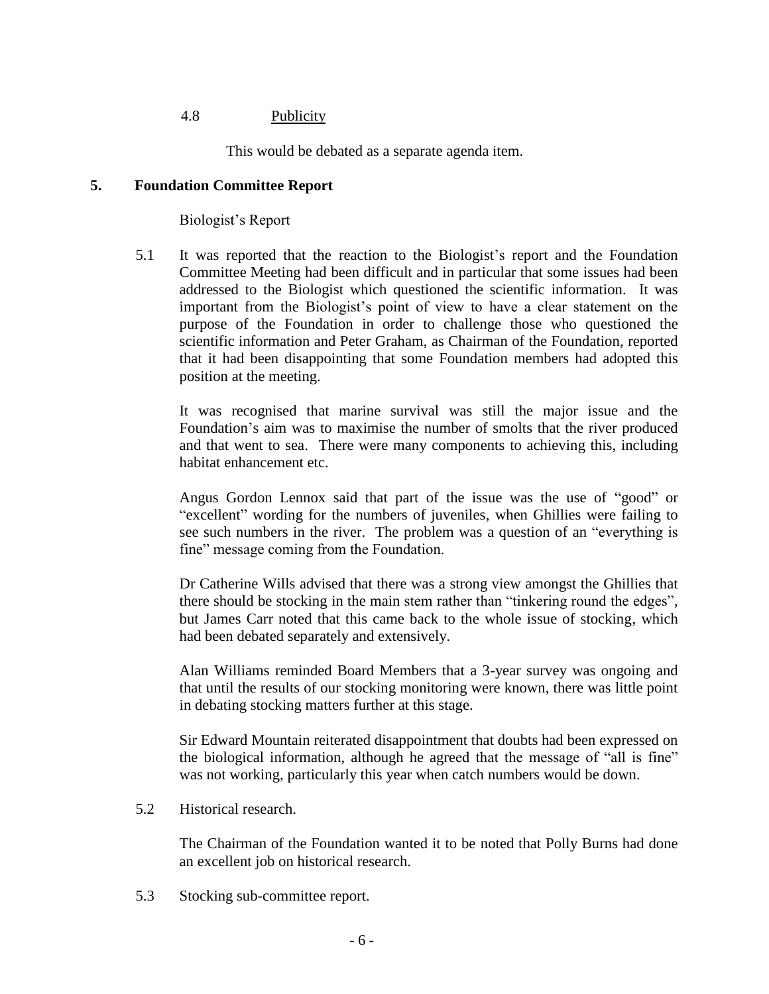### 4.8 Publicity

This would be debated as a separate agenda item.

### **5. Foundation Committee Report**

Biologist's Report

5.1 It was reported that the reaction to the Biologist's report and the Foundation Committee Meeting had been difficult and in particular that some issues had been addressed to the Biologist which questioned the scientific information. It was important from the Biologist's point of view to have a clear statement on the purpose of the Foundation in order to challenge those who questioned the scientific information and Peter Graham, as Chairman of the Foundation, reported that it had been disappointing that some Foundation members had adopted this position at the meeting.

It was recognised that marine survival was still the major issue and the Foundation's aim was to maximise the number of smolts that the river produced and that went to sea. There were many components to achieving this, including habitat enhancement etc.

Angus Gordon Lennox said that part of the issue was the use of "good" or "excellent" wording for the numbers of juveniles, when Ghillies were failing to see such numbers in the river. The problem was a question of an "everything is fine" message coming from the Foundation.

Dr Catherine Wills advised that there was a strong view amongst the Ghillies that there should be stocking in the main stem rather than "tinkering round the edges", but James Carr noted that this came back to the whole issue of stocking, which had been debated separately and extensively.

Alan Williams reminded Board Members that a 3-year survey was ongoing and that until the results of our stocking monitoring were known, there was little point in debating stocking matters further at this stage.

Sir Edward Mountain reiterated disappointment that doubts had been expressed on the biological information, although he agreed that the message of "all is fine" was not working, particularly this year when catch numbers would be down.

5.2 Historical research.

The Chairman of the Foundation wanted it to be noted that Polly Burns had done an excellent job on historical research.

5.3 Stocking sub-committee report.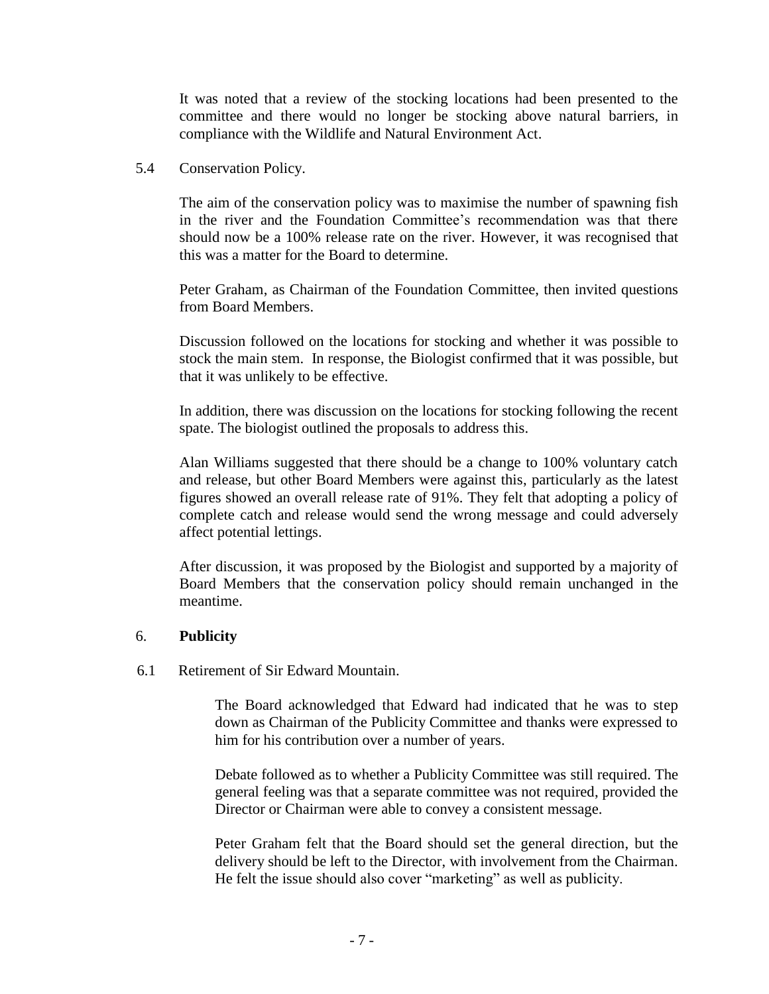It was noted that a review of the stocking locations had been presented to the committee and there would no longer be stocking above natural barriers, in compliance with the Wildlife and Natural Environment Act.

5.4 Conservation Policy.

The aim of the conservation policy was to maximise the number of spawning fish in the river and the Foundation Committee's recommendation was that there should now be a 100% release rate on the river. However, it was recognised that this was a matter for the Board to determine.

Peter Graham, as Chairman of the Foundation Committee, then invited questions from Board Members.

Discussion followed on the locations for stocking and whether it was possible to stock the main stem. In response, the Biologist confirmed that it was possible, but that it was unlikely to be effective.

In addition, there was discussion on the locations for stocking following the recent spate. The biologist outlined the proposals to address this.

Alan Williams suggested that there should be a change to 100% voluntary catch and release, but other Board Members were against this, particularly as the latest figures showed an overall release rate of 91%. They felt that adopting a policy of complete catch and release would send the wrong message and could adversely affect potential lettings.

After discussion, it was proposed by the Biologist and supported by a majority of Board Members that the conservation policy should remain unchanged in the meantime.

### 6. **Publicity**

6.1 Retirement of Sir Edward Mountain.

 The Board acknowledged that Edward had indicated that he was to step down as Chairman of the Publicity Committee and thanks were expressed to him for his contribution over a number of years.

Debate followed as to whether a Publicity Committee was still required. The general feeling was that a separate committee was not required, provided the Director or Chairman were able to convey a consistent message.

Peter Graham felt that the Board should set the general direction, but the delivery should be left to the Director, with involvement from the Chairman. He felt the issue should also cover "marketing" as well as publicity.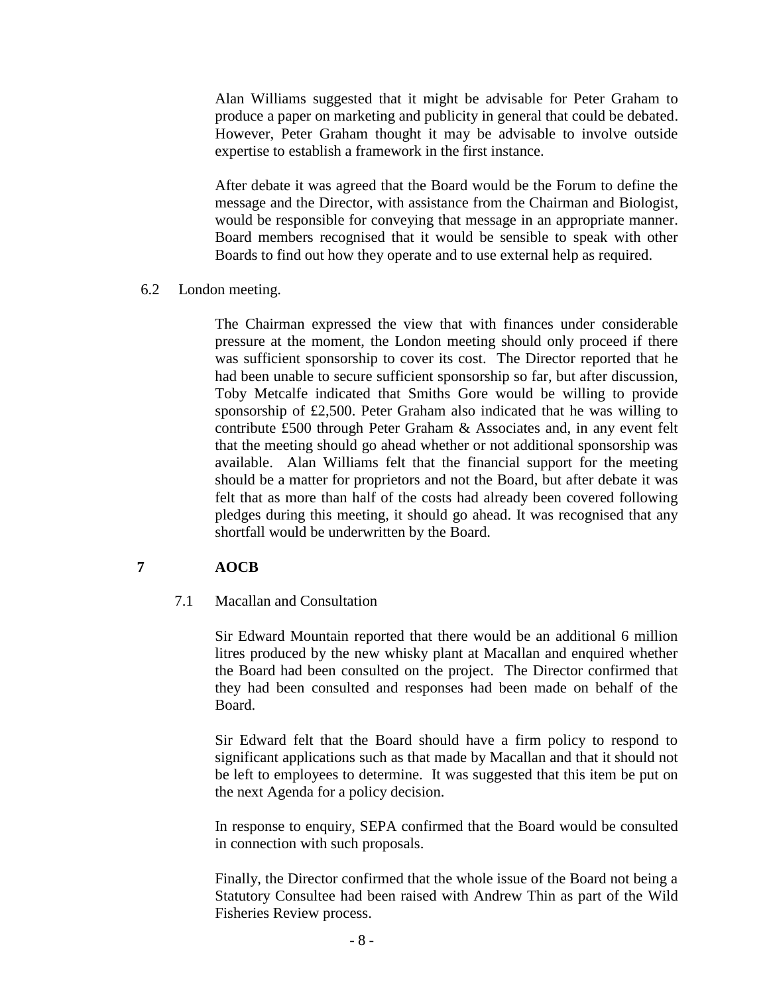Alan Williams suggested that it might be advisable for Peter Graham to produce a paper on marketing and publicity in general that could be debated. However, Peter Graham thought it may be advisable to involve outside expertise to establish a framework in the first instance.

After debate it was agreed that the Board would be the Forum to define the message and the Director, with assistance from the Chairman and Biologist, would be responsible for conveying that message in an appropriate manner. Board members recognised that it would be sensible to speak with other Boards to find out how they operate and to use external help as required.

6.2 London meeting.

The Chairman expressed the view that with finances under considerable pressure at the moment, the London meeting should only proceed if there was sufficient sponsorship to cover its cost. The Director reported that he had been unable to secure sufficient sponsorship so far, but after discussion, Toby Metcalfe indicated that Smiths Gore would be willing to provide sponsorship of £2,500. Peter Graham also indicated that he was willing to contribute £500 through Peter Graham & Associates and, in any event felt that the meeting should go ahead whether or not additional sponsorship was available. Alan Williams felt that the financial support for the meeting should be a matter for proprietors and not the Board, but after debate it was felt that as more than half of the costs had already been covered following pledges during this meeting, it should go ahead. It was recognised that any shortfall would be underwritten by the Board.

## **7 AOCB**

### 7.1 Macallan and Consultation

Sir Edward Mountain reported that there would be an additional 6 million litres produced by the new whisky plant at Macallan and enquired whether the Board had been consulted on the project. The Director confirmed that they had been consulted and responses had been made on behalf of the Board.

Sir Edward felt that the Board should have a firm policy to respond to significant applications such as that made by Macallan and that it should not be left to employees to determine. It was suggested that this item be put on the next Agenda for a policy decision.

In response to enquiry, SEPA confirmed that the Board would be consulted in connection with such proposals.

Finally, the Director confirmed that the whole issue of the Board not being a Statutory Consultee had been raised with Andrew Thin as part of the Wild Fisheries Review process.